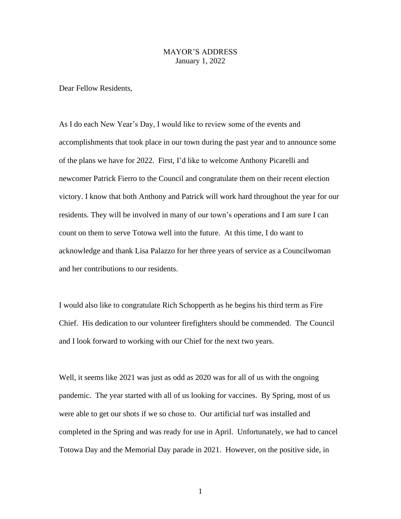## MAYOR'S ADDRESS January 1, 2022

Dear Fellow Residents,

As I do each New Year's Day, I would like to review some of the events and accomplishments that took place in our town during the past year and to announce some of the plans we have for 2022. First, I'd like to welcome Anthony Picarelli and newcomer Patrick Fierro to the Council and congratulate them on their recent election victory. I know that both Anthony and Patrick will work hard throughout the year for our residents. They will be involved in many of our town's operations and I am sure I can count on them to serve Totowa well into the future. At this time, I do want to acknowledge and thank Lisa Palazzo for her three years of service as a Councilwoman and her contributions to our residents.

I would also like to congratulate Rich Schopperth as he begins his third term as Fire Chief. His dedication to our volunteer firefighters should be commended. The Council and I look forward to working with our Chief for the next two years.

Well, it seems like 2021 was just as odd as 2020 was for all of us with the ongoing pandemic. The year started with all of us looking for vaccines. By Spring, most of us were able to get our shots if we so chose to. Our artificial turf was installed and completed in the Spring and was ready for use in April. Unfortunately, we had to cancel Totowa Day and the Memorial Day parade in 2021. However, on the positive side, in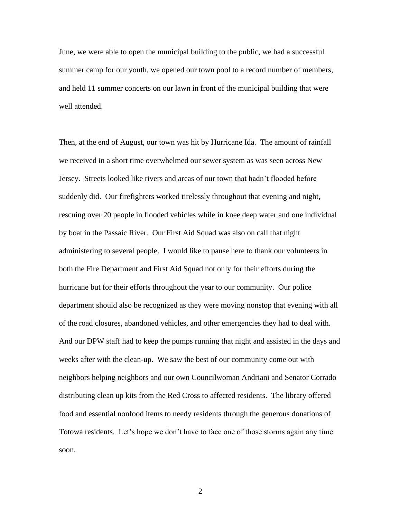June, we were able to open the municipal building to the public, we had a successful summer camp for our youth, we opened our town pool to a record number of members, and held 11 summer concerts on our lawn in front of the municipal building that were well attended.

Then, at the end of August, our town was hit by Hurricane Ida. The amount of rainfall we received in a short time overwhelmed our sewer system as was seen across New Jersey. Streets looked like rivers and areas of our town that hadn't flooded before suddenly did. Our firefighters worked tirelessly throughout that evening and night, rescuing over 20 people in flooded vehicles while in knee deep water and one individual by boat in the Passaic River. Our First Aid Squad was also on call that night administering to several people. I would like to pause here to thank our volunteers in both the Fire Department and First Aid Squad not only for their efforts during the hurricane but for their efforts throughout the year to our community. Our police department should also be recognized as they were moving nonstop that evening with all of the road closures, abandoned vehicles, and other emergencies they had to deal with. And our DPW staff had to keep the pumps running that night and assisted in the days and weeks after with the clean-up. We saw the best of our community come out with neighbors helping neighbors and our own Councilwoman Andriani and Senator Corrado distributing clean up kits from the Red Cross to affected residents. The library offered food and essential nonfood items to needy residents through the generous donations of Totowa residents. Let's hope we don't have to face one of those storms again any time soon.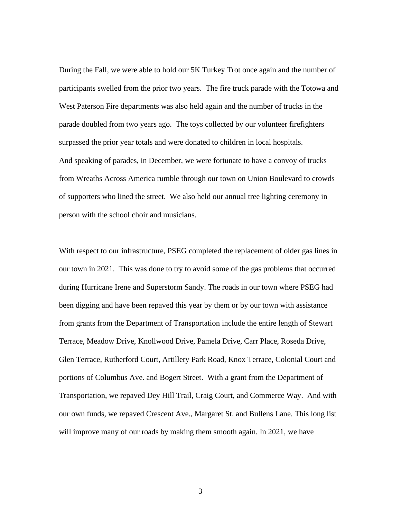During the Fall, we were able to hold our 5K Turkey Trot once again and the number of participants swelled from the prior two years. The fire truck parade with the Totowa and West Paterson Fire departments was also held again and the number of trucks in the parade doubled from two years ago. The toys collected by our volunteer firefighters surpassed the prior year totals and were donated to children in local hospitals. And speaking of parades, in December, we were fortunate to have a convoy of trucks from Wreaths Across America rumble through our town on Union Boulevard to crowds of supporters who lined the street. We also held our annual tree lighting ceremony in person with the school choir and musicians.

With respect to our infrastructure, PSEG completed the replacement of older gas lines in our town in 2021. This was done to try to avoid some of the gas problems that occurred during Hurricane Irene and Superstorm Sandy. The roads in our town where PSEG had been digging and have been repaved this year by them or by our town with assistance from grants from the Department of Transportation include the entire length of Stewart Terrace, Meadow Drive, Knollwood Drive, Pamela Drive, Carr Place, Roseda Drive, Glen Terrace, Rutherford Court, Artillery Park Road, Knox Terrace, Colonial Court and portions of Columbus Ave. and Bogert Street. With a grant from the Department of Transportation, we repaved Dey Hill Trail, Craig Court, and Commerce Way. And with our own funds, we repaved Crescent Ave., Margaret St. and Bullens Lane. This long list will improve many of our roads by making them smooth again. In 2021, we have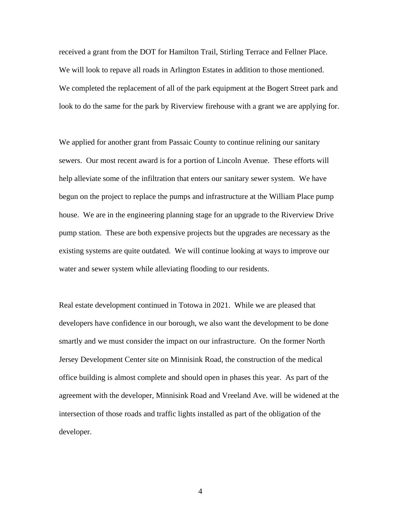received a grant from the DOT for Hamilton Trail, Stirling Terrace and Fellner Place. We will look to repave all roads in Arlington Estates in addition to those mentioned. We completed the replacement of all of the park equipment at the Bogert Street park and look to do the same for the park by Riverview firehouse with a grant we are applying for.

We applied for another grant from Passaic County to continue relining our sanitary sewers. Our most recent award is for a portion of Lincoln Avenue. These efforts will help alleviate some of the infiltration that enters our sanitary sewer system. We have begun on the project to replace the pumps and infrastructure at the William Place pump house. We are in the engineering planning stage for an upgrade to the Riverview Drive pump station. These are both expensive projects but the upgrades are necessary as the existing systems are quite outdated. We will continue looking at ways to improve our water and sewer system while alleviating flooding to our residents.

Real estate development continued in Totowa in 2021. While we are pleased that developers have confidence in our borough, we also want the development to be done smartly and we must consider the impact on our infrastructure. On the former North Jersey Development Center site on Minnisink Road, the construction of the medical office building is almost complete and should open in phases this year. As part of the agreement with the developer, Minnisink Road and Vreeland Ave. will be widened at the intersection of those roads and traffic lights installed as part of the obligation of the developer.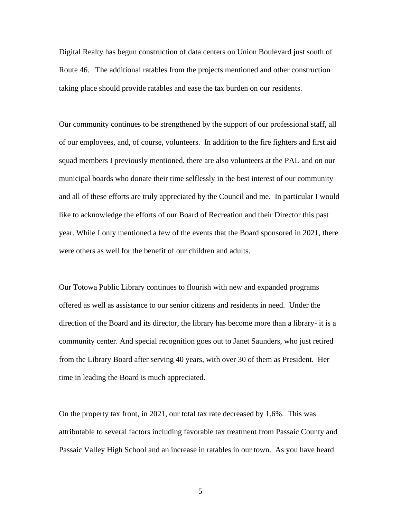Digital Realty has begun construction of data centers on Union Boulevard just south of Route 46. The additional ratables from the projects mentioned and other construction taking place should provide ratables and ease the tax burden on our residents.

Our community continues to be strengthened by the support of our professional staff, all of our employees, and, of course, volunteers. In addition to the fire fighters and first aid squad members I previously mentioned, there are also volunteers at the PAL and on our municipal boards who donate their time selflessly in the best interest of our community and all of these efforts are truly appreciated by the Council and me. In particular I would like to acknowledge the efforts of our Board of Recreation and their Director this past year. While I only mentioned a few of the events that the Board sponsored in 2021, there were others as well for the benefit of our children and adults.

Our Totowa Public Library continues to flourish with new and expanded programs offered as well as assistance to our senior citizens and residents in need. Under the direction of the Board and its director, the library has become more than a library- it is a community center. And special recognition goes out to Janet Saunders, who just retired from the Library Board after serving 40 years, with over 30 of them as President. Her time in leading the Board is much appreciated.

On the property tax front, in 2021, our total tax rate decreased by 1.6%. This was attributable to several factors including favorable tax treatment from Passaic County and Passaic Valley High School and an increase in ratables in our town. As you have heard